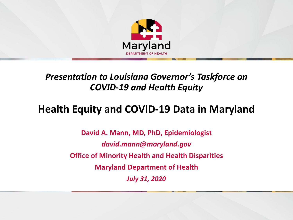

#### *Presentation to Louisiana Governor's Taskforce on COVID-19 and Health Equity*

#### **Health Equity and COVID-19 Data in Maryland**

**David A. Mann, MD, PhD, Epidemiologist** *david.mann@maryland.gov* **Office of Minority Health and Health Disparities Maryland Department of Health** *July 31, 2020*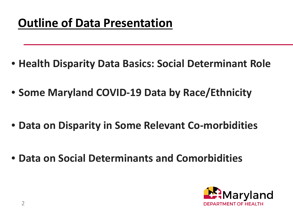- **Health Disparity Data Basics: Social Determinant Role**
- **Some Maryland COVID-19 Data by Race/Ethnicity**
- **Data on Disparity in Some Relevant Co-morbidities**
- **Data on Social Determinants and Comorbidities**

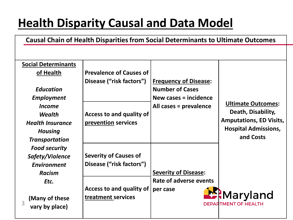## **Health Disparity Causal and Data Model**

**Causal Chain of Health Disparities from Social Determinants to Ultimate Outcomes**

| <b>Social Determinants</b> |                                |                              |                                |
|----------------------------|--------------------------------|------------------------------|--------------------------------|
| of Health                  | <b>Prevalence of Causes of</b> |                              |                                |
|                            | Disease ("risk factors")       | <b>Frequency of Disease:</b> |                                |
| <b>Education</b>           |                                | <b>Number of Cases</b>       |                                |
| <b>Employment</b>          |                                | New cases $=$ incidence      |                                |
| <i>Income</i>              |                                | All cases = prevalence       | <b>Ultimate Outcomes:</b>      |
| <b>Wealth</b>              | Access to and quality of       |                              | Death, Disability,             |
| <b>Health Insurance</b>    | prevention services            |                              | <b>Amputations, ED Visits,</b> |
| <b>Housing</b>             |                                |                              | <b>Hospital Admissions,</b>    |
| <b>Transportation</b>      |                                |                              | and Costs                      |
| <b>Food security</b>       |                                |                              |                                |
| Safety/Violence            | <b>Severity of Causes of</b>   |                              |                                |
| <b>Environment</b>         | Disease ("risk factors")       |                              |                                |
| <b>Racism</b>              |                                | <b>Severity of Disease:</b>  |                                |
| Etc.                       |                                | Rate of adverse events       |                                |
|                            | Access to and quality of       | per case                     |                                |
| (Many of these             | treatment services             |                              | <b>Maryland</b>                |
| 3<br>vary by place)        |                                |                              | <b>DEPARTMENT OF HEALTH</b>    |
|                            |                                |                              |                                |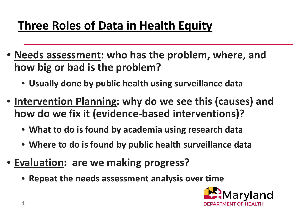# **Three Roles of Data in Health Equity**

- **Needs assessment: who has the problem, where, and how big or bad is the problem?**
	- **Usually done by public health using surveillance data**
- **Intervention Planning: why do we see this (causes) and how do we fix it (evidence-based interventions)?**
	- **What to do is found by academia using research data**
	- **Where to do is found by public health surveillance data**
- **Evaluation: are we making progress?**
	- **Repeat the needs assessment analysis over time**

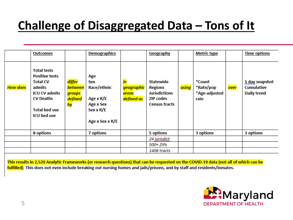# **Challenge of Disaggregated Data – Tons of It**

|          | Outcomes                                                                                                                                                    |                                              | <b>Demographics</b>                                                                 |                                         | Geography                                                                                |       | <b>Metric type</b>                           |      | <b>Time options</b>                         |
|----------|-------------------------------------------------------------------------------------------------------------------------------------------------------------|----------------------------------------------|-------------------------------------------------------------------------------------|-----------------------------------------|------------------------------------------------------------------------------------------|-------|----------------------------------------------|------|---------------------------------------------|
| How does | <b>Total tests</b><br><b>Positive tests</b><br><b>Total CV</b><br>admits<br><b>ICU CV admits</b><br><b>CV Deaths</b><br><b>Total bed use</b><br>ICU bed use | differ<br>between<br>groups<br>defined<br>by | Age<br>Sex<br>Race/ethnic<br>Age x R/E<br>Age x Sex<br>Sex x R/E<br>Age x Sex x R/E | in<br>geographic<br>areas<br>defined as | Statewide<br>Regions<br><b>Jurisdictions</b><br><b>ZIP</b> codes<br><b>Census tracts</b> | using | *Count<br>*Rate/pop<br>*Age-adjusted<br>rate | over | 1 day snapshot<br>Cumulative<br>Daily trend |
|          | 8 options                                                                                                                                                   |                                              | 7 options                                                                           |                                         | 5 options                                                                                |       | 3 options                                    |      | 3 options                                   |
|          |                                                                                                                                                             |                                              |                                                                                     |                                         | 24 jurisdict                                                                             |       |                                              |      |                                             |
|          |                                                                                                                                                             |                                              |                                                                                     |                                         | 500+ ZIPs                                                                                |       |                                              |      |                                             |
|          |                                                                                                                                                             |                                              |                                                                                     |                                         | 1406 tracts                                                                              |       |                                              |      |                                             |

This results in 2,520 Analytic Frameworks (or research questions) that can be requested on the COVID-19 data (not all of which can be fulfilled) This does not even include breaking out nursing homes and jails/prisons, and by staff and residents/inmates.

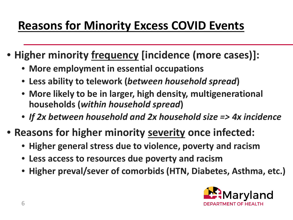## **Reasons for Minority Excess COVID Events**

- **Higher minority frequency [incidence (more cases)]:**
	- **More employment in essential occupations**
	- **Less ability to telework (***between household spread***)**
	- **More likely to be in larger, high density, multigenerational households (***within household spread***)**
	- *If 2x between household and 2x household size => 4x incidence*
- **Reasons for higher minority severity once infected:**
	- **Higher general stress due to violence, poverty and racism**
	- **Less access to resources due poverty and racism**
	- **Higher preval/sever of comorbids (HTN, Diabetes, Asthma, etc.)**

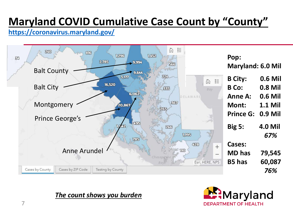#### **Maryland COVID Cumulative Case Count by "County"**

**[https://coronavirus.maryland.gov/](about:blank)**



*The count shows you burden*

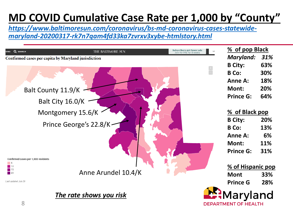#### **MD COVID Cumulative Case Rate per 1,000 by "County"**

*[https://www.baltimoresun.com/coronavirus/bs-md-coronavirus-cases-statewide](about:blank)maryland-20200317-rk7n7qam4fd33ka7zvrxv3xybe-htmlstory.html*

| Q SEARCH<br>ONS                     | THE BALTIMORE SUN                                   | Subscribers get fewer ads<br>L (<br>Join for 99¢ for 8 weeks | % of pop Black          |  |
|-------------------------------------|-----------------------------------------------------|--------------------------------------------------------------|-------------------------|--|
|                                     | Confirmed cases per capita by Maryland jurisdiction |                                                              | <b>Maryland:</b><br>31% |  |
|                                     |                                                     | <b>B</b> City:                                               | 63%                     |  |
|                                     |                                                     | <b>B</b> Co:                                                 | 30%                     |  |
|                                     |                                                     | <b>Anne A:</b>                                               | 18%                     |  |
|                                     | Balt County 11.9/K                                  | Mont:                                                        | 20%                     |  |
|                                     | Balt City 16.0/K                                    | <b>Prince G:</b>                                             | 64%                     |  |
| Montgomery 15.6/K                   |                                                     | % of Black pop                                               |                         |  |
|                                     |                                                     | <b>B City:</b>                                               | 20%                     |  |
|                                     | Prince George's 22.8/K                              | <b>B</b> Co:                                                 | 13%                     |  |
|                                     |                                                     | <b>Anne A:</b>                                               | 6%                      |  |
|                                     |                                                     | Mont:                                                        | 11%                     |  |
| Confirmed cases per 1,000 residents |                                                     | <b>Prince G:</b>                                             | 31%                     |  |
| 5<br>$\blacksquare$ 10              |                                                     |                                                              | % of Hispanic pop       |  |
| $\Box$ 15<br>$\blacksquare$ 20      | Anne Arundel 10.4/K                                 | <b>Mont</b>                                                  | 33%                     |  |
| Last updated July 20                |                                                     | <b>Prince G</b>                                              | 28%                     |  |
| 8                                   | The rate shows you risk                             | <b>DEPARTMENT OF HEALTH</b>                                  | Maryland                |  |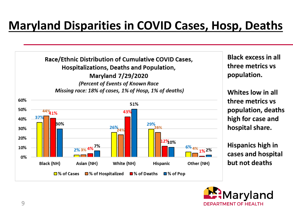#### **Maryland Disparities in COVID Cases, Hosp, Deaths**



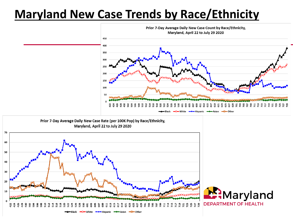#### **Maryland New Case Trends by Race/Ethnicity**



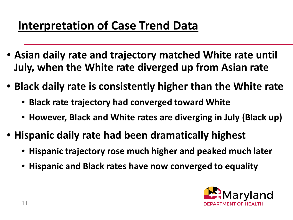## **Interpretation of Case Trend Data**

- **Asian daily rate and trajectory matched White rate until July, when the White rate diverged up from Asian rate**
- **Black daily rate is consistently higher than the White rate**
	- **Black rate trajectory had converged toward White**
	- **However, Black and White rates are diverging in July (Black up)**
- **Hispanic daily rate had been dramatically highest**
	- **Hispanic trajectory rose much higher and peaked much later**
	- **Hispanic and Black rates have now converged to equality**

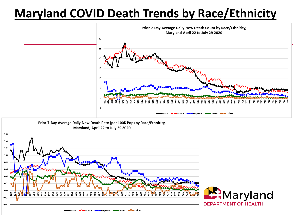#### **Maryland COVID Death Trends by Race/Ethnicity**



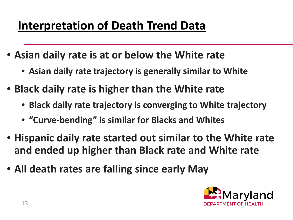### **Interpretation of Death Trend Data**

- **Asian daily rate is at or below the White rate**
	- **Asian daily rate trajectory is generally similar to White**
- **Black daily rate is higher than the White rate**
	- **Black daily rate trajectory is converging to White trajectory**
	- **"Curve-bending" is similar for Blacks and Whites**
- **Hispanic daily rate started out similar to the White rate and ended up higher than Black rate and White rate**
- **All death rates are falling since early May**

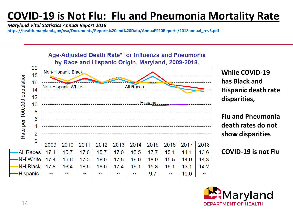#### **COVID-19 is Not Flu: Flu and Pneumonia Mortality Rate**

*Maryland Vital Statistics Annual Report 2018* 

**[https://health.maryland.gov/vsa/Documents/Reports%20and%20Data/Annual%20Reports/2018annual\\_rev3.pdf](about:blank)**



**While COVID-19 has Black and Hispanic death rate disparities,**

**Flu and Pneumonia death rates do not show disparities**

**COVID-19 is not Flu**

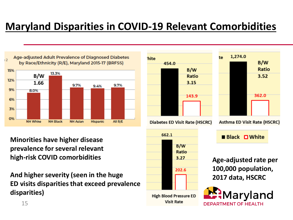#### **Maryland Disparities in COVID-19 Relevant Comorbidities**



**Minorities have higher disease prevalence for several relevant high-risk COVID comorbidities**

**And higher severity (seen in the huge ED visits disparities that exceed prevalence disparities)**



202.6

**High Blood Pressure ED Visit Rate** 



**Black**  $\Box$  **White** 

**Age-adjusted rate per 100,000 population, 2017 data, HSCRC**



15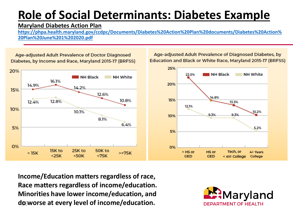## **Role of Social Determinants: Diabetes Example**

#### **Maryland Diabetes Action Plan**

**[https://phpa.health.maryland.gov/ccdpc/Documents/Diabetes%20Action%20Plan%20documents/Diabetes%20Action%](about:blank) 20Plan%20June%201%202020.pdf**

Education and Black or White Race, Maryland 2015-17 (BRFSS) 25% 20% **NH Black NH White** 22.0%  $\blacksquare$  NH Black **NH White** 16.1% 20% 14.9% 14.2% 15% 12.6% 14.8% 15% 10.8% 12.8% 12.4% 13.3% 12.1% 10% 10.1% 10.2% 9.3% 9.3% 10% 8.1%  $6.4%$ 5% 5.2% 5% 0% **O%** 15K to 25K to 50K to Tech, or < HS or **HS or** 4+ Years  $<sub>15K</sub>$ </sub>  $>=75K$  $< 25K$  $<50K$  $< 75K$ **GED GED** < 4Yr College College

Age-adjusted Adult Prevalence of Doctor Diagnosed Diabetes, by Income and Race, Maryland 2015-17 (BRFSS)

16 **do worse at every level of income/education.Income/Education matters regardless of race, Race matters regardless of income/education. Minorities have lower income/education, and**



Age-adjusted Adult Prevalence of Diagnosed Diabetes, by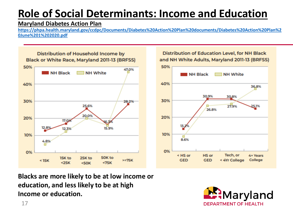#### **Role of Social Determinants: Income and Education**

#### **Maryland Diabetes Action Plan**

**[https://phpa.health.maryland.gov/ccdpc/Documents/Diabetes%20Action%20Plan%20documents/Diabetes%20Action%20Plan%2](about:blank) 0June%201%202020.pdf**



**Distribution of Education Level, for NH Black** and NH White Adults, Maryland 2011-13 (BRFSS)



**Blacks are more likely to be at low income or education, and less likely to be at high Income or education.**